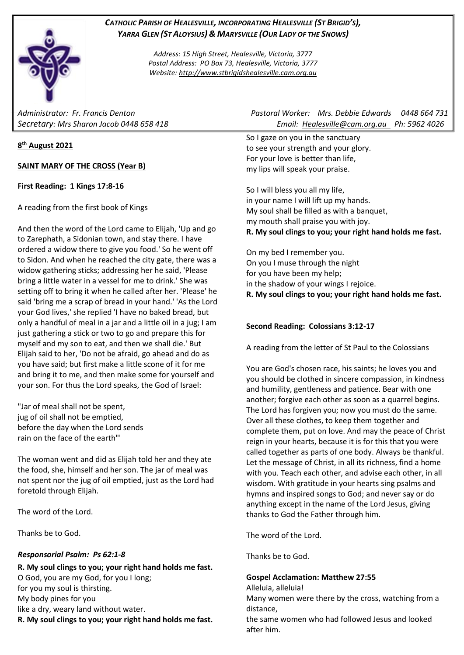# *CATHOLIC PARISH OF HEALESVILLE, INCORPORATING HEALESVILLE (ST BRIGID'S), YARRA GLEN (ST ALOYSIUS) & MARYSVILLE (OUR LADY OF THE SNOWS)*

*Address: 15 High Street, Healesville, Victoria, 3777 Postal Address: PO Box 73, Healesville, Victoria, 3777 Website: [http://www.stbrigidshealesville.cam.org.au](http://www.stbrigidshealesville.cam.org.au/)*

# **8 th August 2021**

**SAINT MARY OF THE CROSS (Year B)**

## **First Reading: 1 Kings 17:8-16**

A reading from the first book of Kings

And then the word of the Lord came to Elijah, 'Up and go to Zarephath, a Sidonian town, and stay there. I have ordered a widow there to give you food.' So he went off to Sidon. And when he reached the city gate, there was a widow gathering sticks; addressing her he said, 'Please bring a little water in a vessel for me to drink.' She was setting off to bring it when he called after her. 'Please' he said 'bring me a scrap of bread in your hand.' 'As the Lord your God lives,' she replied 'I have no baked bread, but only a handful of meal in a jar and a little oil in a jug; I am just gathering a stick or two to go and prepare this for myself and my son to eat, and then we shall die.' But Elijah said to her, 'Do not be afraid, go ahead and do as you have said; but first make a little scone of it for me and bring it to me, and then make some for yourself and your son. For thus the Lord speaks, the God of Israel:

"Jar of meal shall not be spent, jug of oil shall not be emptied, before the day when the Lord sends rain on the face of the earth"'

The woman went and did as Elijah told her and they ate the food, she, himself and her son. The jar of meal was not spent nor the jug of oil emptied, just as the Lord had foretold through Elijah.

The word of the Lord.

Thanks be to God.

## *Responsorial Psalm: Ps 62:1-8*

**R. My soul clings to you; your right hand holds me fast.** O God, you are my God, for you I long; for you my soul is thirsting. My body pines for you like a dry, weary land without water. **R. My soul clings to you; your right hand holds me fast.**

*Administrator: Fr. Francis Denton Pastoral Worker: Mrs. Debbie Edwards 0448 664 731 Secretary: Mrs Sharon Jacob 0448 658 418 Email: [Healesville@cam.org.au](mailto:Healesville@cam.org.au) Ph: 5962 4026* 

> So I gaze on you in the sanctuary to see your strength and your glory. For your love is better than life, my lips will speak your praise.

So I will bless you all my life, in your name I will lift up my hands. My soul shall be filled as with a banquet, my mouth shall praise you with joy. **R. My soul clings to you; your right hand holds me fast.**

On my bed I remember you. On you I muse through the night for you have been my help; in the shadow of your wings I rejoice. **R. My soul clings to you; your right hand holds me fast.**

# **Second Reading: Colossians 3:12-17**

A reading from the letter of St Paul to the Colossians

You are God's chosen race, his saints; he loves you and you should be clothed in sincere compassion, in kindness and humility, gentleness and patience. Bear with one another; forgive each other as soon as a quarrel begins. The Lord has forgiven you; now you must do the same. Over all these clothes, to keep them together and complete them, put on love. And may the peace of Christ reign in your hearts, because it is for this that you were called together as parts of one body. Always be thankful. Let the message of Christ, in all its richness, find a home with you. Teach each other, and advise each other, in all wisdom. With gratitude in your hearts sing psalms and hymns and inspired songs to God; and never say or do anything except in the name of the Lord Jesus, giving thanks to God the Father through him.

The word of the Lord.

Thanks be to God.

## **Gospel Acclamation: Matthew 27:55**

Alleluia, alleluia!

Many women were there by the cross, watching from a distance,

the same women who had followed Jesus and looked after him.

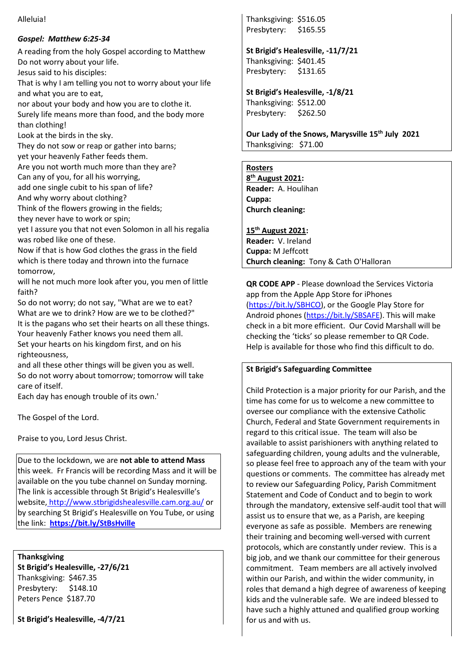#### Alleluia!

# *Gospel: Matthew 6:25-34*

A reading from the holy Gospel according to Matthew Do not worry about your life. Jesus said to his disciples:

That is why I am telling you not to worry about your life and what you are to eat,

nor about your body and how you are to clothe it. Surely life means more than food, and the body more than clothing!

Look at the birds in the sky.

They do not sow or reap or gather into barns;

yet your heavenly Father feeds them.

Are you not worth much more than they are? Can any of you, for all his worrying,

add one single cubit to his span of life?

And why worry about clothing?

Think of the flowers growing in the fields;

they never have to work or spin;

yet I assure you that not even Solomon in all his regalia was robed like one of these.

Now if that is how God clothes the grass in the field which is there today and thrown into the furnace tomorrow,

will he not much more look after you, you men of little faith?

So do not worry; do not say, "What are we to eat? What are we to drink? How are we to be clothed?" It is the pagans who set their hearts on all these things. Your heavenly Father knows you need them all. Set your hearts on his kingdom first, and on his righteousness,

and all these other things will be given you as well. So do not worry about tomorrow; tomorrow will take care of itself.

Each day has enough trouble of its own.'

The Gospel of the Lord.

Praise to you, Lord Jesus Christ.

Due to the lockdown, we are **not able to attend Mass** this week. Fr Francis will be recording Mass and it will be available on the you tube channel on Sunday morning. The link is accessible through St Brigid's Healesville's website, <http://www.stbrigidshealesville.cam.org.au/> or by searching St Brigid's Healesville on You Tube, or using the link: **<https://bit.ly/StBsHville>**

**Thanksgiving St Brigid's Healesville, -27/6/21** Thanksgiving: \$467.35 Presbytery: \$148.10 Peters Pence \$187.70

**St Brigid's Healesville, -4/7/21**

Thanksgiving: \$516.05 Presbytery: \$165.55

**St Brigid's Healesville, -11/7/21** Thanksgiving: \$401.45 Presbytery: \$131.65

**St Brigid's Healesville, -1/8/21** Thanksgiving: \$512.00 Presbytery: \$262.50

**Our Lady of the Snows, Marysville 15th July 2021**  Thanksgiving: \$71.00

# **Rosters**

**8 th August 2021: Reader:** A. Houlihan **Cuppa: Church cleaning:** 

**15th August 2021: Reader:** V. Ireland **Cuppa:** M Jeffcott **Church cleaning:** Tony & Cath O'Halloran

**QR CODE APP** - Please download the Services Victoria app from the Apple App Store for iPhones [\(https://bit.ly/SBHCO\)](https://bit.ly/SBHCO), or the Google Play Store for Android phones [\(https://bit.ly/SBSAFE\)](https://bit.ly/SBSAFE). This will make check in a bit more efficient. Our Covid Marshall will be checking the 'ticks' so please remember to QR Code. Help is available for those who find this difficult to do.

# **St Brigid's Safeguarding Committee**

Child Protection is a major priority for our Parish, and the time has come for us to welcome a new committee to oversee our compliance with the extensive Catholic Church, Federal and State Government requirements in regard to this critical issue. The team will also be available to assist parishioners with anything related to safeguarding children, young adults and the vulnerable, so please feel free to approach any of the team with your questions or comments. The committee has already met to review our Safeguarding Policy, Parish Commitment Statement and Code of Conduct and to begin to work through the mandatory, extensive self-audit tool that will assist us to ensure that we, as a Parish, are keeping everyone as safe as possible. Members are renewing their training and becoming well-versed with current protocols, which are constantly under review. This is a big job, and we thank our committee for their generous commitment. Team members are all actively involved within our Parish, and within the wider community, in roles that demand a high degree of awareness of keeping kids and the vulnerable safe. We are indeed blessed to have such a highly attuned and qualified group working for us and with us.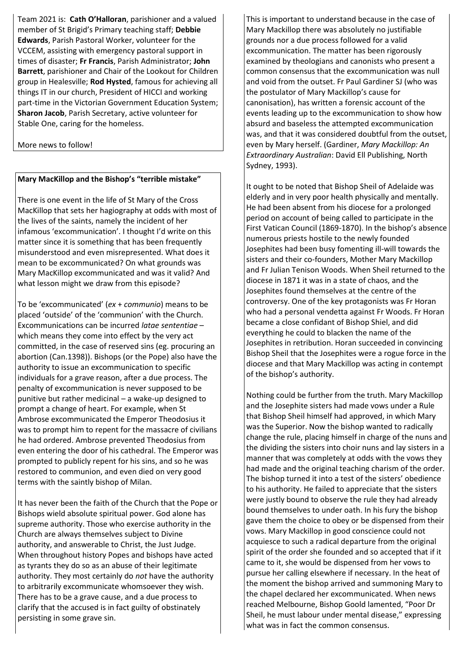Team 2021 is: **Cath O'Halloran**, parishioner and a valued member of St Brigid's Primary teaching staff; **Debbie Edwards**, Parish Pastoral Worker, volunteer for the VCCEM, assisting with emergency pastoral support in times of disaster; **Fr Francis**, Parish Administrator; **John Barrett**, parishioner and Chair of the Lookout for Children group in Healesville; **Rod Hysted**, famous for achieving all things IT in our church, President of HICCI and working part-time in the Victorian Government Education System; **Sharon Jacob**, Parish Secretary, active volunteer for Stable One, caring for the homeless.

More news to follow!

# **Mary MacKillop and the Bishop's "terrible mistake"**

There is one event in the life of St Mary of the Cross MacKillop that sets her hagiography at odds with most of the lives of the saints, namely the incident of her infamous 'excommunication'. I thought I'd write on this matter since it is something that has been frequently misunderstood and even misrepresented. What does it mean to be excommunicated? On what grounds was Mary MacKillop excommunicated and was it valid? And what lesson might we draw from this episode?

To be 'excommunicated' (*ex* + *communio*) means to be placed 'outside' of the 'communion' with the Church. Excommunications can be incurred *latae sententiae* – which means they come into effect by the very act committed, in the case of reserved sins (eg. procuring an abortion (Can.1398)). Bishops (or the Pope) also have the authority to issue an excommunication to specific individuals for a grave reason, after a due process. The penalty of excommunication is never supposed to be punitive but rather medicinal – a wake-up designed to prompt a change of heart. For example, when St Ambrose excommunicated the Emperor Theodosius it was to prompt him to repent for the massacre of civilians he had ordered. Ambrose prevented Theodosius from even entering the door of his cathedral. The Emperor was prompted to publicly repent for his sins, and so he was restored to communion, and even died on very good terms with the saintly bishop of Milan.

It has never been the faith of the Church that the Pope or Bishops wield absolute spiritual power. God alone has supreme authority. Those who exercise authority in the Church are always themselves subject to Divine authority, and answerable to Christ, the Just Judge. When throughout history Popes and bishops have acted as tyrants they do so as an abuse of their legitimate authority. They most certainly do *not* have the authority to arbitrarily excommunicate whomsoever they wish. There has to be a grave cause, and a due process to clarify that the accused is in fact guilty of obstinately persisting in some grave sin.

This is important to understand because in the case of Mary Mackillop there was absolutely no justifiable grounds nor a due process followed for a valid excommunication. The matter has been rigorously examined by theologians and canonists who present a common consensus that the excommunication was null and void from the outset. Fr Paul Gardiner SJ (who was the postulator of Mary Mackillop's cause for canonisation), has written a forensic account of the events leading up to the excommunication to show how absurd and baseless the attempted excommunication was, and that it was considered doubtful from the outset, even by Mary herself. (Gardiner, *Mary Mackillop: An Extraordinary Australian*: David Ell Publishing, North Sydney, 1993).

It ought to be noted that Bishop Sheil of Adelaide was elderly and in very poor health physically and mentally. He had been absent from his diocese for a prolonged period on account of being called to participate in the First Vatican Council (1869-1870). In the bishop's absence numerous priests hostile to the newly founded Josephites had been busy fomenting ill-will towards the sisters and their co-founders, Mother Mary Mackillop and Fr Julian Tenison Woods. When Sheil returned to the diocese in 1871 it was in a state of chaos, and the Josephites found themselves at the centre of the controversy. One of the key protagonists was Fr Horan who had a personal vendetta against Fr Woods. Fr Horan became a close confidant of Bishop Shiel, and did everything he could to blacken the name of the Josephites in retribution. Horan succeeded in convincing Bishop Sheil that the Josephites were a rogue force in the diocese and that Mary Mackillop was acting in contempt of the bishop's authority.

Nothing could be further from the truth. Mary Mackillop and the Josephite sisters had made vows under a Rule that Bishop Sheil himself had approved, in which Mary was the Superior. Now the bishop wanted to radically change the rule, placing himself in charge of the nuns and the dividing the sisters into choir nuns and lay sisters in a manner that was completely at odds with the vows they had made and the original teaching charism of the order. The bishop turned it into a test of the sisters' obedience to his authority. He failed to appreciate that the sisters were justly bound to observe the rule they had already bound themselves to under oath. In his fury the bishop gave them the choice to obey or be dispensed from their vows. Mary Mackillop in good conscience could not acquiesce to such a radical departure from the original spirit of the order she founded and so accepted that if it came to it, she would be dispensed from her vows to pursue her calling elsewhere if necessary. In the heat of the moment the bishop arrived and summoning Mary to the chapel declared her excommunicated. When news reached Melbourne, Bishop Goold lamented, "Poor Dr Sheil, he must labour under mental disease," expressing what was in fact the common consensus.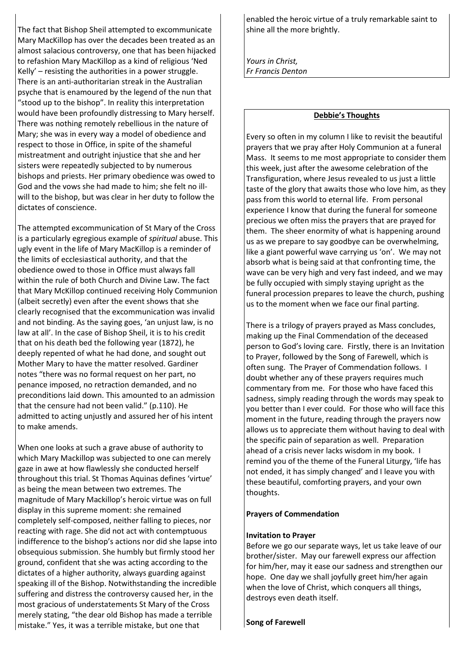The fact that Bishop Sheil attempted to excommunicate Mary MacKillop has over the decades been treated as an almost salacious controversy, one that has been hijacked to refashion Mary MacKillop as a kind of religious 'Ned Kelly' – resisting the authorities in a power struggle. There is an anti-authoritarian streak in the Australian psyche that is enamoured by the legend of the nun that "stood up to the bishop". In reality this interpretation would have been profoundly distressing to Mary herself. There was nothing remotely rebellious in the nature of Mary; she was in every way a model of obedience and respect to those in Office, in spite of the shameful mistreatment and outright injustice that she and her sisters were repeatedly subjected to by numerous bishops and priests. Her primary obedience was owed to God and the vows she had made to him; she felt no illwill to the bishop, but was clear in her duty to follow the dictates of conscience.

The attempted excommunication of St Mary of the Cross is a particularly egregious example of *spiritual* abuse. This ugly event in the life of Mary MacKillop is a reminder of the limits of ecclesiastical authority, and that the obedience owed to those in Office must always fall within the rule of both Church and Divine Law. The fact that Mary McKillop continued receiving Holy Communion (albeit secretly) even after the event shows that she clearly recognised that the excommunication was invalid and not binding. As the saying goes, 'an unjust law, is no law at all'. In the case of Bishop Sheil, it is to his credit that on his death bed the following year (1872), he deeply repented of what he had done, and sought out Mother Mary to have the matter resolved. Gardiner notes "there was no formal request on her part, no penance imposed, no retraction demanded, and no preconditions laid down. This amounted to an admission that the censure had not been valid." (p.110). He admitted to acting unjustly and assured her of his intent to make amends.

When one looks at such a grave abuse of authority to which Mary Mackillop was subjected to one can merely gaze in awe at how flawlessly she conducted herself throughout this trial. St Thomas Aquinas defines 'virtue' as being the mean between two extremes. The magnitude of Mary Mackillop's heroic virtue was on full display in this supreme moment: she remained completely self-composed, neither falling to pieces, nor reacting with rage. She did not act with contemptuous indifference to the bishop's actions nor did she lapse into obsequious submission. She humbly but firmly stood her ground, confident that she was acting according to the dictates of a higher authority, always guarding against speaking ill of the Bishop. Notwithstanding the incredible suffering and distress the controversy caused her, in the most gracious of understatements St Mary of the Cross merely stating, "the dear old Bishop has made a terrible mistake." Yes, it was a terrible mistake, but one that

enabled the heroic virtue of a truly remarkable saint to shine all the more brightly.

*Yours in Christ, Fr Francis Denton* 

#### **Debbie's Thoughts**

Every so often in my column I like to revisit the beautiful prayers that we pray after Holy Communion at a funeral Mass. It seems to me most appropriate to consider them this week, just after the awesome celebration of the Transfiguration, where Jesus revealed to us just a little taste of the glory that awaits those who love him, as they pass from this world to eternal life. From personal experience I know that during the funeral for someone precious we often miss the prayers that are prayed for them. The sheer enormity of what is happening around us as we prepare to say goodbye can be overwhelming, like a giant powerful wave carrying us 'on'. We may not absorb what is being said at that confronting time, the wave can be very high and very fast indeed, and we may be fully occupied with simply staying upright as the funeral procession prepares to leave the church, pushing us to the moment when we face our final parting.

There is a trilogy of prayers prayed as Mass concludes, making up the Final Commendation of the deceased person to God's loving care. Firstly, there is an Invitation to Prayer, followed by the Song of Farewell, which is often sung. The Prayer of Commendation follows. I doubt whether any of these prayers requires much commentary from me. For those who have faced this sadness, simply reading through the words may speak to you better than I ever could. For those who will face this moment in the future, reading through the prayers now allows us to appreciate them without having to deal with the specific pain of separation as well. Preparation ahead of a crisis never lacks wisdom in my book. I remind you of the theme of the Funeral Liturgy, 'life has not ended, it has simply changed' and I leave you with these beautiful, comforting prayers, and your own thoughts.

#### **Prayers of Commendation**

#### **Invitation to Prayer**

Before we go our separate ways, let us take leave of our brother/sister. May our farewell express our affection for him/her, may it ease our sadness and strengthen our hope. One day we shall joyfully greet him/her again when the love of Christ, which conquers all things, destroys even death itself.

**Song of Farewell**